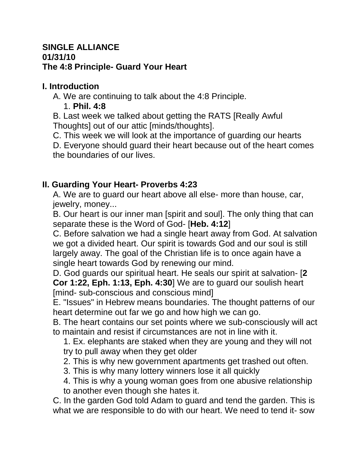#### **SINGLE ALLIANCE 01/31/10 The 4:8 Principle- Guard Your Heart**

## **I. Introduction**

A. We are continuing to talk about the 4:8 Principle.

### 1. **Phil. 4:8**

B. Last week we talked about getting the RATS [Really Awful Thoughts] out of our attic [minds/thoughts].

C. This week we will look at the importance of guarding our hearts

D. Everyone should guard their heart because out of the heart comes the boundaries of our lives.

# **II. Guarding Your Heart- Proverbs 4:23**

A. We are to guard our heart above all else- more than house, car, jewelry, money...

B. Our heart is our inner man [spirit and soul]. The only thing that can separate these is the Word of God- [**Heb. 4:12**]

C. Before salvation we had a single heart away from God. At salvation we got a divided heart. Our spirit is towards God and our soul is still largely away. The goal of the Christian life is to once again have a single heart towards God by renewing our mind.

D. God guards our spiritual heart. He seals our spirit at salvation- [**2 Cor 1:22, Eph. 1:13, Eph. 4:30**] We are to guard our soulish heart [mind- sub-conscious and conscious mind]

E. "Issues" in Hebrew means boundaries. The thought patterns of our heart determine out far we go and how high we can go.

B. The heart contains our set points where we sub-consciously will act to maintain and resist if circumstances are not in line with it.

1. Ex. elephants are staked when they are young and they will not try to pull away when they get older

2. This is why new government apartments get trashed out often.

3. This is why many lottery winners lose it all quickly

4. This is why a young woman goes from one abusive relationship to another even though she hates it.

C. In the garden God told Adam to guard and tend the garden. This is what we are responsible to do with our heart. We need to tend it- sow